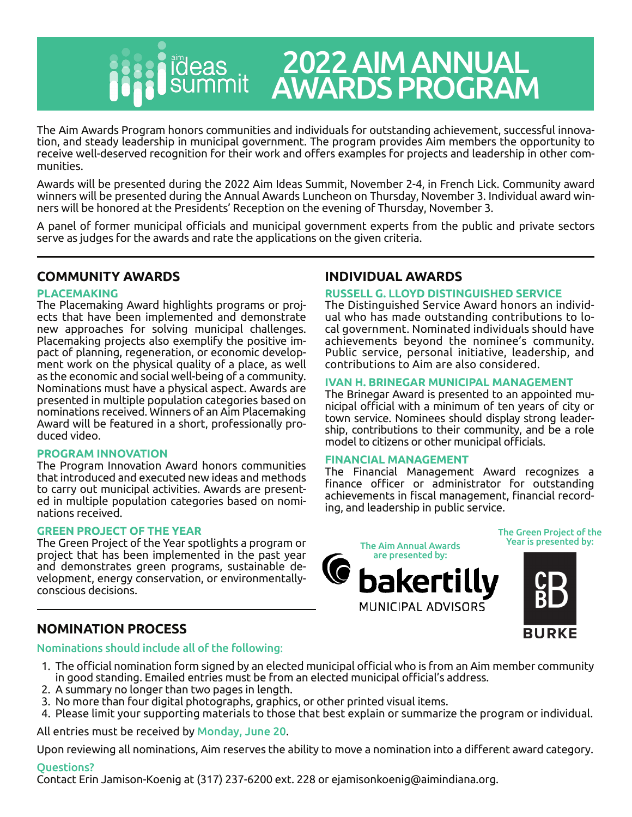

# 2022 AIM ANNUAL AWARDS PROGRAM

The Aim Awards Program honors communities and individuals for outstanding achievement, successful innovation, and steady leadership in municipal government. The program provides Aim members the opportunity to receive well-deserved recognition for their work and offers examples for projects and leadership in other communities.

Awards will be presented during the 2022 Aim Ideas Summit, November 2-4, in French Lick. Community award winners will be presented during the Annual Awards Luncheon on Thursday, November 3. Individual award winners will be honored at the Presidents' Reception on the evening of Thursday, November 3.

A panel of former municipal officials and municipal government experts from the public and private sectors serve as judges for the awards and rate the applications on the given criteria.

## **COMMUNITY AWARDS**

## **PLACEMAKING**

The Placemaking Award highlights programs or projects that have been implemented and demonstrate new approaches for solving municipal challenges. Placemaking projects also exemplify the positive impact of planning, regeneration, or economic development work on the physical quality of a place, as well as the economic and social well-being of a community. Nominations must have a physical aspect. Awards are presented in multiple population categories based on nominations received. Winners of an Aim Placemaking Award will be featured in a short, professionally produced video.

## **PROGRAM INNOVATION**

The Program Innovation Award honors communities that introduced and executed new ideas and methods to carry out municipal activities. Awards are presented in multiple population categories based on nominations received.

## **GREEN PROJECT OF THE YEAR**

The Green Project of the Year spotlights a program or project that has been implemented in the past year and demonstrates green programs, sustainable development, energy conservation, or environmentallyconscious decisions.

## **NOMINATION PROCESS**

## Nominations should include all of the following:

- 1. The official nomination form signed by an elected municipal official who is from an Aim member community in good standing. Emailed entries must be from an elected municipal official's address.
- 2. A summary no longer than two pages in length.
- 3. No more than four digital photographs, graphics, or other printed visual items.
- 4. Please limit your supporting materials to those that best explain or summarize the program or individual.

All entries must be received by Monday, June 20.

Upon reviewing all nominations, Aim reserves the ability to move a nomination into a different award category.

## Questions?

Contact Erin Jamison-Koenig at (317) 237-6200 ext. 228 or ejamisonkoenig@aimindiana.org.

## **INDIVIDUAL AWARDS**

## **RUSSELL G. LLOYD DISTINGUISHED SERVICE**

The Distinguished Service Award honors an individual who has made outstanding contributions to local government. Nominated individuals should have achievements beyond the nominee's community. Public service, personal initiative, leadership, and contributions to Aim are also considered.

## **IVAN H. BRINEGAR MUNICIPAL MANAGEMENT**

The Brinegar Award is presented to an appointed municipal official with a minimum of ten years of city or town service. Nominees should display strong leadership, contributions to their community, and be a role model to citizens or other municipal officials.

## **FINANCIAL MANAGEMENT**

The Financial Management Award recognizes a finance officer or administrator for outstanding achievements in fiscal management, financial recording, and leadership in public service.